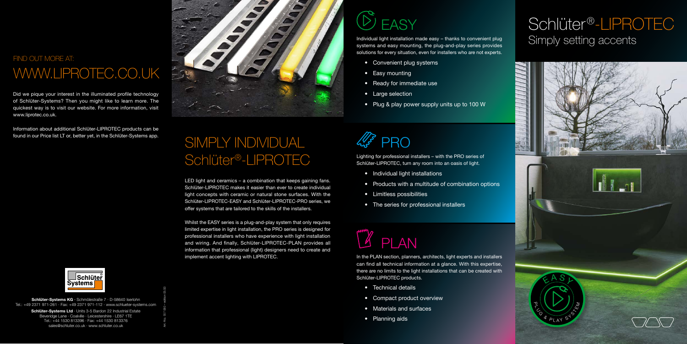Schlüter-Systems KG · Schmölestraße 7 · D-58640 Iserlohn Tel.: +49 2371 971-261 · Fax: +49 2371 971-112 · www.schlueter-systems.com

> Schlüter-Systems Ltd · Units 3-5 Bardon 22 Industrial Estate Beveridge Lane · Coalville · Leicestershire · LE67 1TE Tel.: +44 1530 813396 · Fax: +44 1530 813376 sales@schluter.co.uk · www.schluter.co.uk

#### FIND OUT MORE AT: WWW.LIPROTEC.CO.UK

Art.-No. 557 060 – edition 05/20

### Schlüter<sup>®</sup>-LIPROTEC Simply setting accents



# found in our Price list LT or, better yet, in the Schlüter-Systems app. SIMPLY INDIVIDUAL Schlüter®-LIPROTEC

Did we pique your interest in the illuminated profile technology of Schlüter-Systems? Then you might like to learn more. The quickest way is to visit our website. For more information, visit www.liprotec.co.uk.

Information about additional Schlüter-LIPROTEC products can be



# **EASY**

LED light and ceramics – a combination that keeps gaining fans. Schlüter-LIPROTEC makes it easier than ever to create individual light concepts with ceramic or natural stone surfaces. With the Schlüter-LIPROTEC-EASY and Schlüter-LIPROTEC-PRO series, we offer systems that are tailored to the skills of the installers.

> In the PLAN section, planners, architects, light experts and installers can find all technical information at a glance. With this expertise, there are no limits to the light installations that can be created with Schlüter-LIPROTEC products.

Whilst the EASY series is a plug-and-play system that only requires limited expertise in light installation, the PRO series is designed for professional installers who have experience with light installation and wiring. And finally, Schlüter-LIPROTEC-PLAN provides all information that professional (light) designers need to create and implement accent lighting with LIPROTEC.





Individual light installation made easy – thanks to convenient plug systems and easy mounting, the plug-and-play series provides solutions for every situation, even for installers who are not experts.

Lighting for professional installers – with the PRO series of Schlüter-LIPROTEC, turn any room into an oasis of light.

- Convenient plug systems
- Easy mounting
- Ready for immediate use
- Large selection
- Plug & play power supply units up to 100 W

- Individual light installations
- Products with a multitude of combination options
- Limitless possibilities
- The series for professional installers

- Technical details
- Compact product overview
- Materials and surfaces
- Planning aids